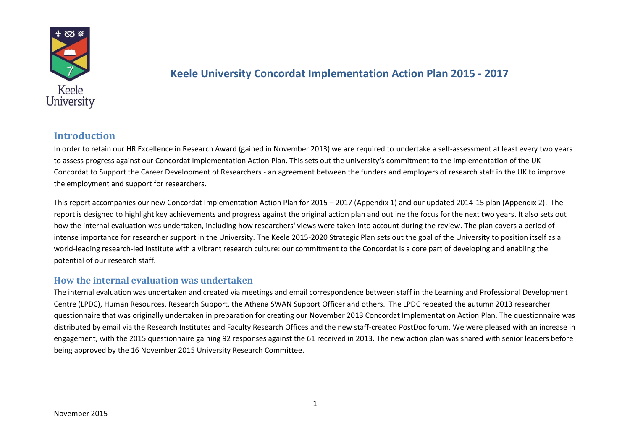

## **Keele University Concordat Implementation Action Plan 2015 - 2017**

## **Introduction**

In order to retain our HR Excellence in Research Award (gained in November 2013) we are required to undertake a self-assessment at least every two years to assess progress against our Concordat Implementation Action Plan. This sets out the university's commitment to the implementation of the UK Concordat to Support the Career Development of Researchers - an agreement between the funders and employers of research staff in the UK to improve the employment and support for researchers.

This report accompanies our new Concordat Implementation Action Plan for 2015 – 2017 (Appendix 1) and our updated 2014-15 plan (Appendix 2). The report is designed to highlight key achievements and progress against the original action plan and outline the focus for the next two years. It also sets out how the internal evaluation was undertaken, including how researchers' views were taken into account during the review. The plan covers a period of intense importance for researcher support in the University. The Keele 2015-2020 Strategic Plan sets out the goal of the University to position itself as a world-leading research-led institute with a vibrant research culture: our commitment to the Concordat is a core part of developing and enabling the potential of our research staff.

### **How the internal evaluation was undertaken**

The internal evaluation was undertaken and created via meetings and email correspondence between staff in the Learning and Professional Development Centre (LPDC), Human Resources, Research Support, the Athena SWAN Support Officer and others. The LPDC repeated the autumn 2013 researcher questionnaire that was originally undertaken in preparation for creating our November 2013 Concordat Implementation Action Plan. The questionnaire was distributed by email via the Research Institutes and Faculty Research Offices and the new staff-created PostDoc forum. We were pleased with an increase in engagement, with the 2015 questionnaire gaining 92 responses against the 61 received in 2013. The new action plan was shared with senior leaders before being approved by the 16 November 2015 University Research Committee.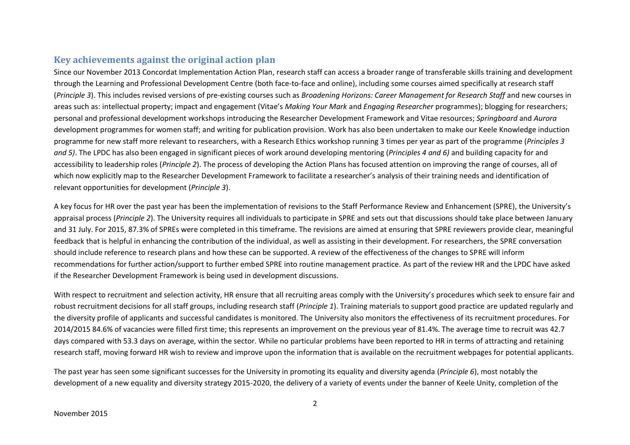## **Key achievements against the original action plan**

Since our November 2013 Concordat Implementation Action Plan, research staff can access a broader range of transferable skills training and development through the Learning and Professional Development Centre (both face-to-face and online), including some courses aimed specifically at research staff (*Principle 3*). This includes revised versions of pre-existing courses such as *Broadening Horizons: Career Management for Research Staff* and new courses in areas such as: intellectual property; impact and engagement (Vitae's *Making Your Mark* and *Engaging Researcher* programmes); blogging for researchers; personal and professional development workshops introducing the Researcher Development Framework and Vitae resources; *Springboard* and *Aurora* development programmes for women staff; and writing for publication provision. Work has also been undertaken to make our Keele Knowledge induction programme for new staff more relevant to researchers, with a Research Ethics workshop running 3 times per year as part of the programme (*Principles 3 and 5)*. The LPDC has also been engaged in significant pieces of work around developing mentoring (*Principles 4 and 6)* and building capacity for and accessibility to leadership roles (*Principle 2*). The process of developing the Action Plans has focused attention on improving the range of courses, all of which now explicitly map to the Researcher Development Framework to facilitate a researcher's analysis of their training needs and identification of relevant opportunities for development (*Principle 3*).

A key focus for HR over the past year has been the implementation of revisions to the Staff Performance Review and Enhancement (SPRE), the University's appraisal process (*Principle 2*). The University requires all individuals to participate in SPRE and sets out that discussions should take place between January and 31 July. For 2015, 87.3% of SPREs were completed in this timeframe. The revisions are aimed at ensuring that SPRE reviewers provide clear, meaningful feedback that is helpful in enhancing the contribution of the individual, as well as assisting in their development. For researchers, the SPRE conversation should include reference to research plans and how these can be supported. A review of the effectiveness of the changes to SPRE will inform recommendations for further action/support to further embed SPRE into routine management practice. As part of the review HR and the LPDC have asked if the Researcher Development Framework is being used in development discussions.

With respect to recruitment and selection activity, HR ensure that all recruiting areas comply with the University's procedures which seek to ensure fair and robust recruitment decisions for all staff groups, including research staff (*Principle 1*). Training materials to support good practice are updated regularly and the diversity profile of applicants and successful candidates is monitored. The University also monitors the effectiveness of its recruitment procedures. For 2014/2015 84.6% of vacancies were filled first time; this represents an improvement on the previous year of 81.4%. The average time to recruit was 42.7 days compared with 53.3 days on average, within the sector. While no particular problems have been reported to HR in terms of attracting and retaining research staff, moving forward HR wish to review and improve upon the information that is available on the recruitment webpages for potential applicants.

The past year has seen some significant successes for the University in promoting its equality and diversity agenda (*Principle 6*), most notably the development of a new equality and diversity strategy 2015-2020, the delivery of a variety of events under the banner of Keele Unity, completion of the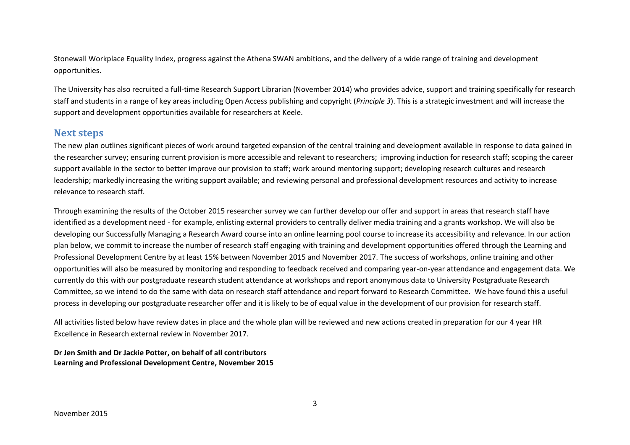Stonewall Workplace Equality Index, progress against the Athena SWAN ambitions, and the delivery of a wide range of training and development opportunities.

The University has also recruited a full-time Research Support Librarian (November 2014) who provides advice, support and training specifically for research staff and students in a range of key areas including Open Access publishing and copyright (*Principle 3*). This is a strategic investment and will increase the support and development opportunities available for researchers at Keele.

## **Next steps**

The new plan outlines significant pieces of work around targeted expansion of the central training and development available in response to data gained in the researcher survey; ensuring current provision is more accessible and relevant to researchers; improving induction for research staff; scoping the career support available in the sector to better improve our provision to staff; work around mentoring support; developing research cultures and research leadership; markedly increasing the writing support available; and reviewing personal and professional development resources and activity to increase relevance to research staff.

Through examining the results of the October 2015 researcher survey we can further develop our offer and support in areas that research staff have identified as a development need - for example, enlisting external providers to centrally deliver media training and a grants workshop. We will also be developing our Successfully Managing a Research Award course into an online learning pool course to increase its accessibility and relevance. In our action plan below, we commit to increase the number of research staff engaging with training and development opportunities offered through the Learning and Professional Development Centre by at least 15% between November 2015 and November 2017. The success of workshops, online training and other opportunities will also be measured by monitoring and responding to feedback received and comparing year-on-year attendance and engagement data. We currently do this with our postgraduate research student attendance at workshops and report anonymous data to University Postgraduate Research Committee, so we intend to do the same with data on research staff attendance and report forward to Research Committee. We have found this a useful process in developing our postgraduate researcher offer and it is likely to be of equal value in the development of our provision for research staff.

All activities listed below have review dates in place and the whole plan will be reviewed and new actions created in preparation for our 4 year HR Excellence in Research external review in November 2017.

**Dr Jen Smith and Dr Jackie Potter, on behalf of all contributors Learning and Professional Development Centre, November 2015**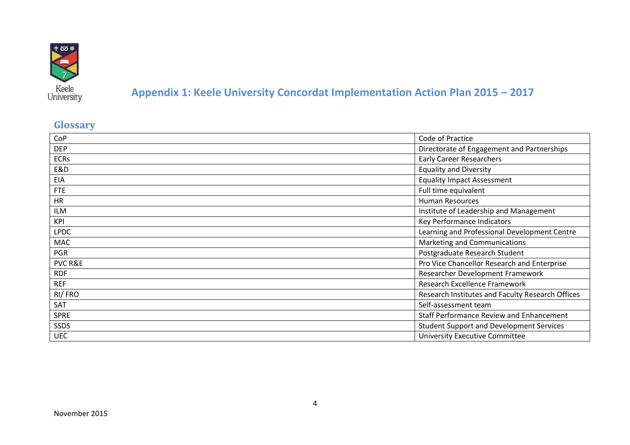

# **Appendix 1: Keele University Concordat Implementation Action Plan 2015 – 2017**

# **Glossary**

| CoP         | Code of Practice                                 |  |
|-------------|--------------------------------------------------|--|
| <b>DEP</b>  | Directorate of Engagement and Partnerships       |  |
| <b>ECRs</b> | <b>Early Career Researchers</b>                  |  |
| E&D         | <b>Equality and Diversity</b>                    |  |
| EIA         | <b>Equality Impact Assessment</b>                |  |
| <b>FTE</b>  | Full time equivalent                             |  |
| <b>HR</b>   | <b>Human Resources</b>                           |  |
| <b>ILM</b>  | Institute of Leadership and Management           |  |
| KPI         | Key Performance Indicators                       |  |
| <b>LPDC</b> | Learning and Professional Development Centre     |  |
| MAC         | Marketing and Communications                     |  |
| <b>PGR</b>  | Postgraduate Research Student                    |  |
| PVC R&E     | Pro Vice Chancellor Research and Enterprise      |  |
| <b>RDF</b>  | Researcher Development Framework                 |  |
| <b>REF</b>  | Research Excellence Framework                    |  |
| RI/FRO      | Research Institutes and Faculty Research Offices |  |
| SAT         | Self-assessment team                             |  |
| <b>SPRE</b> | <b>Staff Performance Review and Enhancement</b>  |  |
| <b>SSDS</b> | <b>Student Support and Development Services</b>  |  |
| <b>UEC</b>  | <b>University Executive Committee</b>            |  |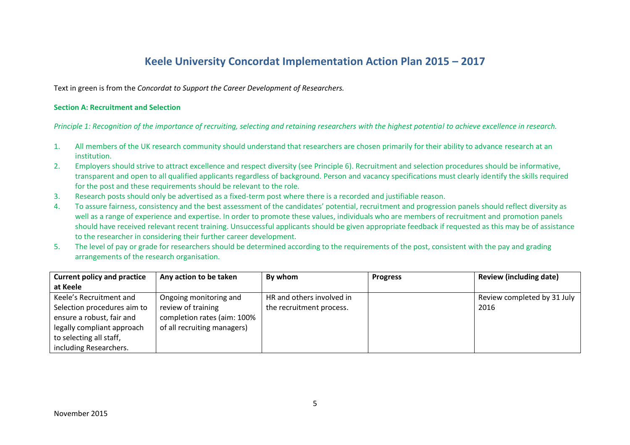## **Keele University Concordat Implementation Action Plan 2015 – 2017**

Text in green is from the *Concordat to Support the Career Development of Researchers.*

#### **Section A: Recruitment and Selection**

*Principle 1: Recognition of the importance of recruiting, selecting and retaining researchers with the highest potential to achieve excellence in research.*

- 1. All members of the UK research community should understand that researchers are chosen primarily for their ability to advance research at an institution.
- 2. Employers should strive to attract excellence and respect diversity (see Principle 6). Recruitment and selection procedures should be informative, transparent and open to all qualified applicants regardless of background. Person and vacancy specifications must clearly identify the skills required for the post and these requirements should be relevant to the role.
- 3. Research posts should only be advertised as a fixed-term post where there is a recorded and justifiable reason.
- 4. To assure fairness, consistency and the best assessment of the candidates' potential, recruitment and progression panels should reflect diversity as well as a range of experience and expertise. In order to promote these values, individuals who are members of recruitment and promotion panels should have received relevant recent training. Unsuccessful applicants should be given appropriate feedback if requested as this may be of assistance to the researcher in considering their further career development.
- 5. The level of pay or grade for researchers should be determined according to the requirements of the post, consistent with the pay and grading arrangements of the research organisation.

| <b>Current policy and practice</b> | Any action to be taken      | By whom                   | <b>Progress</b> | <b>Review (including date)</b> |
|------------------------------------|-----------------------------|---------------------------|-----------------|--------------------------------|
| at Keele                           |                             |                           |                 |                                |
| Keele's Recruitment and            | Ongoing monitoring and      | HR and others involved in |                 | Review completed by 31 July    |
| Selection procedures aim to        | review of training          | the recruitment process.  |                 | 2016                           |
| ensure a robust, fair and          | completion rates (aim: 100% |                           |                 |                                |
| legally compliant approach         | of all recruiting managers) |                           |                 |                                |
| to selecting all staff,            |                             |                           |                 |                                |
| including Researchers.             |                             |                           |                 |                                |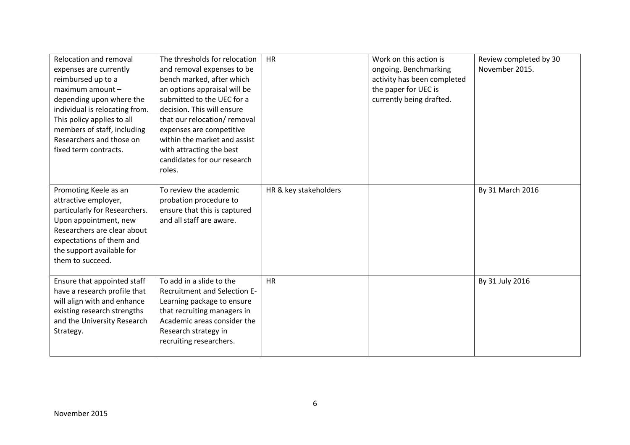| Relocation and removal<br>expenses are currently<br>reimbursed up to a<br>maximum amount -<br>depending upon where the<br>individual is relocating from.<br>This policy applies to all<br>members of staff, including<br>Researchers and those on<br>fixed term contracts. | The thresholds for relocation<br>and removal expenses to be<br>bench marked, after which<br>an options appraisal will be<br>submitted to the UEC for a<br>decision. This will ensure<br>that our relocation/removal<br>expenses are competitive<br>within the market and assist<br>with attracting the best<br>candidates for our research<br>roles. | <b>HR</b>             | Work on this action is<br>ongoing. Benchmarking<br>activity has been completed<br>the paper for UEC is<br>currently being drafted. | Review completed by 30<br>November 2015. |
|----------------------------------------------------------------------------------------------------------------------------------------------------------------------------------------------------------------------------------------------------------------------------|------------------------------------------------------------------------------------------------------------------------------------------------------------------------------------------------------------------------------------------------------------------------------------------------------------------------------------------------------|-----------------------|------------------------------------------------------------------------------------------------------------------------------------|------------------------------------------|
| Promoting Keele as an<br>attractive employer,<br>particularly for Researchers.<br>Upon appointment, new<br>Researchers are clear about<br>expectations of them and<br>the support available for<br>them to succeed.                                                        | To review the academic<br>probation procedure to<br>ensure that this is captured<br>and all staff are aware.                                                                                                                                                                                                                                         | HR & key stakeholders |                                                                                                                                    | By 31 March 2016                         |
| Ensure that appointed staff<br>have a research profile that<br>will align with and enhance<br>existing research strengths<br>and the University Research<br>Strategy.                                                                                                      | To add in a slide to the<br>Recruitment and Selection E-<br>Learning package to ensure<br>that recruiting managers in<br>Academic areas consider the<br>Research strategy in<br>recruiting researchers.                                                                                                                                              | <b>HR</b>             |                                                                                                                                    | By 31 July 2016                          |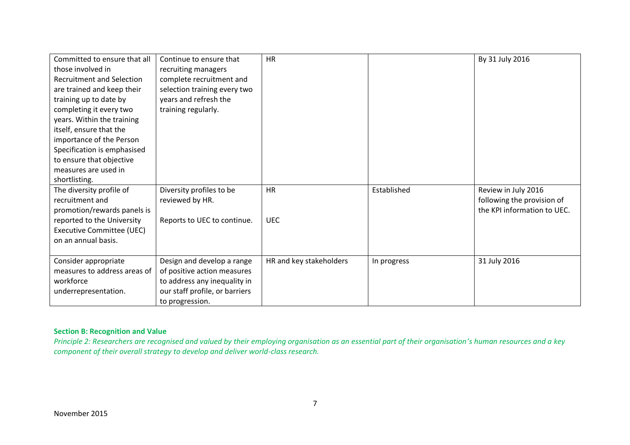| Committed to ensure that all     | Continue to ensure that        | <b>HR</b>               |             | By 31 July 2016             |
|----------------------------------|--------------------------------|-------------------------|-------------|-----------------------------|
| those involved in                | recruiting managers            |                         |             |                             |
| <b>Recruitment and Selection</b> | complete recruitment and       |                         |             |                             |
| are trained and keep their       | selection training every two   |                         |             |                             |
| training up to date by           | years and refresh the          |                         |             |                             |
| completing it every two          | training regularly.            |                         |             |                             |
| years. Within the training       |                                |                         |             |                             |
| itself, ensure that the          |                                |                         |             |                             |
| importance of the Person         |                                |                         |             |                             |
| Specification is emphasised      |                                |                         |             |                             |
| to ensure that objective         |                                |                         |             |                             |
| measures are used in             |                                |                         |             |                             |
| shortlisting.                    |                                |                         |             |                             |
| The diversity profile of         | Diversity profiles to be       | <b>HR</b>               | Established | Review in July 2016         |
| recruitment and                  | reviewed by HR.                |                         |             | following the provision of  |
| promotion/rewards panels is      |                                |                         |             | the KPI information to UEC. |
| reported to the University       | Reports to UEC to continue.    | <b>UEC</b>              |             |                             |
| <b>Executive Committee (UEC)</b> |                                |                         |             |                             |
| on an annual basis.              |                                |                         |             |                             |
|                                  |                                |                         |             |                             |
| Consider appropriate             | Design and develop a range     | HR and key stakeholders | In progress | 31 July 2016                |
| measures to address areas of     | of positive action measures    |                         |             |                             |
| workforce                        | to address any inequality in   |                         |             |                             |
| underrepresentation.             | our staff profile, or barriers |                         |             |                             |
|                                  | to progression.                |                         |             |                             |

### **Section B: Recognition and Value**

*Principle 2: Researchers are recognised and valued by their employing organisation as an essential part of their organisation's human resources and a key component of their overall strategy to develop and deliver world-class research.*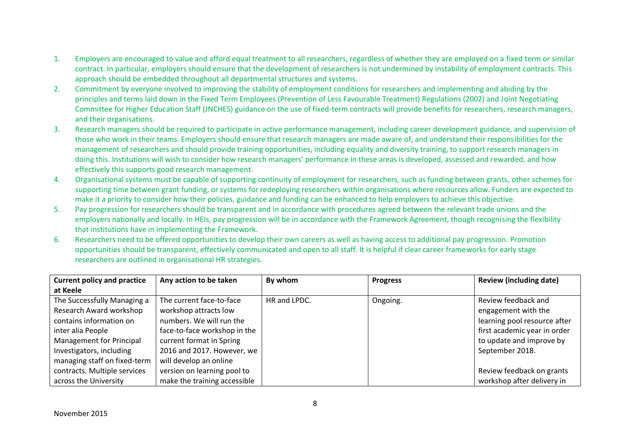- 1. Employers are encouraged to value and afford equal treatment to all researchers, regardless of whether they are employed on a fixed term or similar contract. In particular, employers should ensure that the development of researchers is not undermined by instability of employment contracts. This approach should be embedded throughout all departmental structures and systems.
- 2. Commitment by everyone involved to improving the stability of employment conditions for researchers and implementing and abiding by the principles and terms laid down in the Fixed Term Employees (Prevention of Less Favourable Treatment) Regulations (2002) and Joint Negotiating Committee for Higher Education Staff (JNCHES) guidance on the use of fixed-term contracts will provide benefits for researchers, research managers, and their organisations.
- 3. Research managers should be required to participate in active performance management, including career development guidance, and supervision of those who work in their teams. Employers should ensure that research managers are made aware of, and understand their responsibilities for the management of researchers and should provide training opportunities, including equality and diversity training, to support research managers in doing this. Institutions will wish to consider how research managers' performance in these areas is developed, assessed and rewarded, and how effectively this supports good research management.
- 4. Organisational systems must be capable of supporting continuity of employment for researchers, such as funding between grants, other schemes for supporting time between grant funding, or systems for redeploying researchers within organisations where resources allow. Funders are expected to make it a priority to consider how their policies, guidance and funding can be enhanced to help employers to achieve this objective.
- 5. Pay progression for researchers should be transparent and in accordance with procedures agreed between the relevant trade unions and the employers nationally and locally. In HEIs, pay progression will be in accordance with the Framework Agreement, though recognising the flexibility that institutions have in implementing the Framework.
- 6. Researchers need to be offered opportunities to develop their own careers as well as having access to additional pay progression. Promotion opportunities should be transparent, effectively communicated and open to all staff. It is helpful if clear career frameworks for early stage researchers are outlined in organisational HR strategies.

| <b>Current policy and practice</b> | Any action to be taken       | By whom      | <b>Progress</b> | <b>Review (including date)</b> |
|------------------------------------|------------------------------|--------------|-----------------|--------------------------------|
| at Keele                           |                              |              |                 |                                |
| The Successfully Managing a        | The current face-to-face     | HR and LPDC. | Ongoing.        | Review feedback and            |
| Research Award workshop            | workshop attracts low        |              |                 | engagement with the            |
| contains information on            | numbers. We will run the     |              |                 | learning pool resource after   |
| inter alia People                  | face-to-face workshop in the |              |                 | first academic year in order   |
| Management for Principal           | current format in Spring     |              |                 | to update and improve by       |
| Investigators, including           | 2016 and 2017. However, we   |              |                 | September 2018.                |
| managing staff on fixed-term       | will develop an online       |              |                 |                                |
| contracts. Multiple services       | version on learning pool to  |              |                 | Review feedback on grants      |
| across the University              | make the training accessible |              |                 | workshop after delivery in     |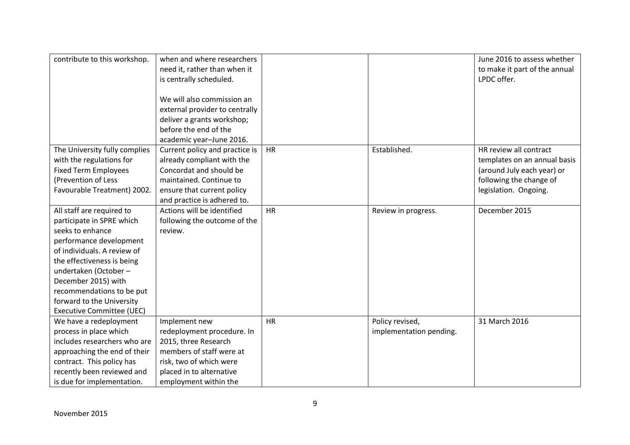| contribute to this workshop.  | when and where researchers<br>need it, rather than when it |           |                         | June 2016 to assess whether<br>to make it part of the annual |
|-------------------------------|------------------------------------------------------------|-----------|-------------------------|--------------------------------------------------------------|
|                               | is centrally scheduled.                                    |           |                         | LPDC offer.                                                  |
|                               |                                                            |           |                         |                                                              |
|                               | We will also commission an                                 |           |                         |                                                              |
|                               | external provider to centrally                             |           |                         |                                                              |
|                               | deliver a grants workshop;                                 |           |                         |                                                              |
|                               | before the end of the                                      |           |                         |                                                              |
|                               | academic year-June 2016.                                   |           |                         |                                                              |
| The University fully complies | Current policy and practice is                             | <b>HR</b> | Established.            | HR review all contract                                       |
| with the regulations for      | already compliant with the                                 |           |                         | templates on an annual basis                                 |
| <b>Fixed Term Employees</b>   | Concordat and should be                                    |           |                         | (around July each year) or                                   |
| (Prevention of Less           | maintained. Continue to                                    |           |                         | following the change of                                      |
| Favourable Treatment) 2002.   | ensure that current policy                                 |           |                         | legislation. Ongoing.                                        |
|                               | and practice is adhered to.                                |           |                         |                                                              |
| All staff are required to     | Actions will be identified                                 | <b>HR</b> | Review in progress.     | December 2015                                                |
| participate in SPRE which     | following the outcome of the                               |           |                         |                                                              |
| seeks to enhance              | review.                                                    |           |                         |                                                              |
| performance development       |                                                            |           |                         |                                                              |
| of individuals. A review of   |                                                            |           |                         |                                                              |
| the effectiveness is being    |                                                            |           |                         |                                                              |
| undertaken (October -         |                                                            |           |                         |                                                              |
| December 2015) with           |                                                            |           |                         |                                                              |
| recommendations to be put     |                                                            |           |                         |                                                              |
| forward to the University     |                                                            |           |                         |                                                              |
| Executive Committee (UEC)     |                                                            |           |                         |                                                              |
| We have a redeployment        | Implement new                                              | <b>HR</b> | Policy revised,         | 31 March 2016                                                |
| process in place which        | redeployment procedure. In                                 |           | implementation pending. |                                                              |
| includes researchers who are  | 2015, three Research                                       |           |                         |                                                              |
| approaching the end of their  | members of staff were at                                   |           |                         |                                                              |
| contract. This policy has     | risk, two of which were                                    |           |                         |                                                              |
| recently been reviewed and    | placed in to alternative                                   |           |                         |                                                              |
| is due for implementation.    | employment within the                                      |           |                         |                                                              |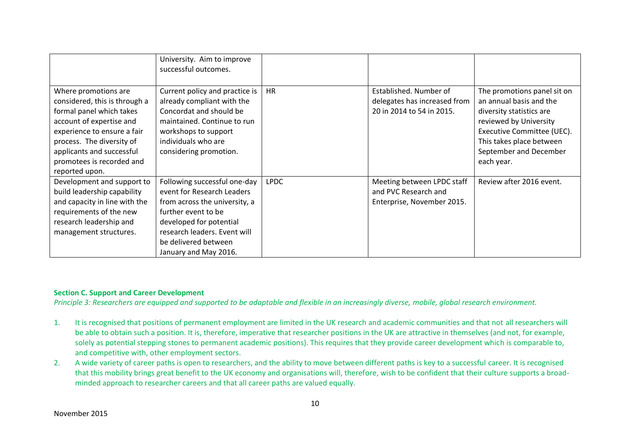|                                                                                                                                                                                                                                                       | University. Aim to improve<br>successful outcomes.                                                                                                                                                                             |             |                                                                                     |                                                                                                                                                                                                                |
|-------------------------------------------------------------------------------------------------------------------------------------------------------------------------------------------------------------------------------------------------------|--------------------------------------------------------------------------------------------------------------------------------------------------------------------------------------------------------------------------------|-------------|-------------------------------------------------------------------------------------|----------------------------------------------------------------------------------------------------------------------------------------------------------------------------------------------------------------|
| Where promotions are<br>considered, this is through a<br>formal panel which takes<br>account of expertise and<br>experience to ensure a fair<br>process. The diversity of<br>applicants and successful<br>promotees is recorded and<br>reported upon. | Current policy and practice is<br>already compliant with the<br>Concordat and should be<br>maintained. Continue to run<br>workshops to support<br>individuals who are<br>considering promotion.                                | <b>HR</b>   | Established. Number of<br>delegates has increased from<br>20 in 2014 to 54 in 2015. | The promotions panel sit on<br>an annual basis and the<br>diversity statistics are<br>reviewed by University<br>Executive Committee (UEC).<br>This takes place between<br>September and December<br>each year. |
| Development and support to<br>build leadership capability<br>and capacity in line with the<br>requirements of the new<br>research leadership and<br>management structures.                                                                            | Following successful one-day<br>event for Research Leaders<br>from across the university, a<br>further event to be<br>developed for potential<br>research leaders. Event will<br>be delivered between<br>January and May 2016. | <b>LPDC</b> | Meeting between LPDC staff<br>and PVC Research and<br>Enterprise, November 2015.    | Review after 2016 event.                                                                                                                                                                                       |

### **Section C. Support and Career Development**

*Principle 3: Researchers are equipped and supported to be adaptable and flexible in an increasingly diverse, mobile, global research environment.*

- 1. It is recognised that positions of permanent employment are limited in the UK research and academic communities and that not all researchers will be able to obtain such a position. It is, therefore, imperative that researcher positions in the UK are attractive in themselves (and not, for example, solely as potential stepping stones to permanent academic positions). This requires that they provide career development which is comparable to, and competitive with, other employment sectors.
- 2. A wide variety of career paths is open to researchers, and the ability to move between different paths is key to a successful career. It is recognised that this mobility brings great benefit to the UK economy and organisations will, therefore, wish to be confident that their culture supports a broadminded approach to researcher careers and that all career paths are valued equally.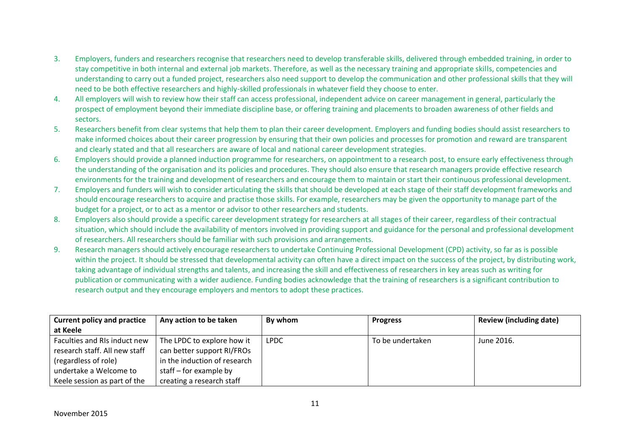- 3. Employers, funders and researchers recognise that researchers need to develop transferable skills, delivered through embedded training, in order to stay competitive in both internal and external job markets. Therefore, as well as the necessary training and appropriate skills, competencies and understanding to carry out a funded project, researchers also need support to develop the communication and other professional skills that they will need to be both effective researchers and highly-skilled professionals in whatever field they choose to enter.
- 4. All employers will wish to review how their staff can access professional, independent advice on career management in general, particularly the prospect of employment beyond their immediate discipline base, or offering training and placements to broaden awareness of other fields and sectors.
- 5. Researchers benefit from clear systems that help them to plan their career development. Employers and funding bodies should assist researchers to make informed choices about their career progression by ensuring that their own policies and processes for promotion and reward are transparent and clearly stated and that all researchers are aware of local and national career development strategies.
- 6. Employers should provide a planned induction programme for researchers, on appointment to a research post, to ensure early effectiveness through the understanding of the organisation and its policies and procedures. They should also ensure that research managers provide effective research environments for the training and development of researchers and encourage them to maintain or start their continuous professional development.
- 7. Employers and funders will wish to consider articulating the skills that should be developed at each stage of their staff development frameworks and should encourage researchers to acquire and practise those skills. For example, researchers may be given the opportunity to manage part of the budget for a project, or to act as a mentor or advisor to other researchers and students.
- 8. Employers also should provide a specific career development strategy for researchers at all stages of their career, regardless of their contractual situation, which should include the availability of mentors involved in providing support and guidance for the personal and professional development of researchers. All researchers should be familiar with such provisions and arrangements.
- 9. Research managers should actively encourage researchers to undertake Continuing Professional Development (CPD) activity, so far as is possible within the project. It should be stressed that developmental activity can often have a direct impact on the success of the project, by distributing work, taking advantage of individual strengths and talents, and increasing the skill and effectiveness of researchers in key areas such as writing for publication or communicating with a wider audience. Funding bodies acknowledge that the training of researchers is a significant contribution to research output and they encourage employers and mentors to adopt these practices.

| <b>Current policy and practice</b> | Any action to be taken       | By whom     | <b>Progress</b>  | <b>Review (including date)</b> |
|------------------------------------|------------------------------|-------------|------------------|--------------------------------|
| at Keele                           |                              |             |                  |                                |
| Faculties and RIs induct new       | The LPDC to explore how it   | <b>LPDC</b> | To be undertaken | June 2016.                     |
| research staff. All new staff      | can better support RI/FROs   |             |                  |                                |
| (regardless of role)               | in the induction of research |             |                  |                                |
| undertake a Welcome to             | staff – for example by       |             |                  |                                |
| Keele session as part of the       | creating a research staff    |             |                  |                                |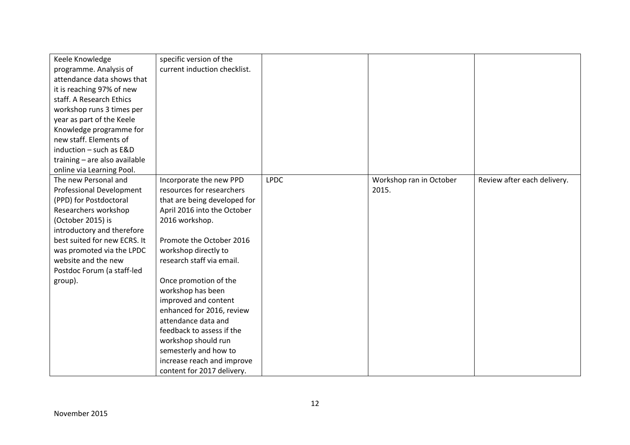| Keele Knowledge               | specific version of the      |             |                         |                             |
|-------------------------------|------------------------------|-------------|-------------------------|-----------------------------|
| programme. Analysis of        | current induction checklist. |             |                         |                             |
| attendance data shows that    |                              |             |                         |                             |
| it is reaching 97% of new     |                              |             |                         |                             |
| staff. A Research Ethics      |                              |             |                         |                             |
| workshop runs 3 times per     |                              |             |                         |                             |
| year as part of the Keele     |                              |             |                         |                             |
| Knowledge programme for       |                              |             |                         |                             |
| new staff. Elements of        |                              |             |                         |                             |
| induction - such as E&D       |                              |             |                         |                             |
| training - are also available |                              |             |                         |                             |
| online via Learning Pool.     |                              |             |                         |                             |
| The new Personal and          | Incorporate the new PPD      | <b>LPDC</b> | Workshop ran in October | Review after each delivery. |
| Professional Development      | resources for researchers    |             | 2015.                   |                             |
| (PPD) for Postdoctoral        | that are being developed for |             |                         |                             |
| Researchers workshop          | April 2016 into the October  |             |                         |                             |
| (October 2015) is             | 2016 workshop.               |             |                         |                             |
| introductory and therefore    |                              |             |                         |                             |
| best suited for new ECRS. It  | Promote the October 2016     |             |                         |                             |
| was promoted via the LPDC     | workshop directly to         |             |                         |                             |
| website and the new           | research staff via email.    |             |                         |                             |
| Postdoc Forum (a staff-led    |                              |             |                         |                             |
| group).                       | Once promotion of the        |             |                         |                             |
|                               | workshop has been            |             |                         |                             |
|                               | improved and content         |             |                         |                             |
|                               | enhanced for 2016, review    |             |                         |                             |
|                               | attendance data and          |             |                         |                             |
|                               | feedback to assess if the    |             |                         |                             |
|                               | workshop should run          |             |                         |                             |
|                               | semesterly and how to        |             |                         |                             |
|                               | increase reach and improve   |             |                         |                             |
|                               | content for 2017 delivery.   |             |                         |                             |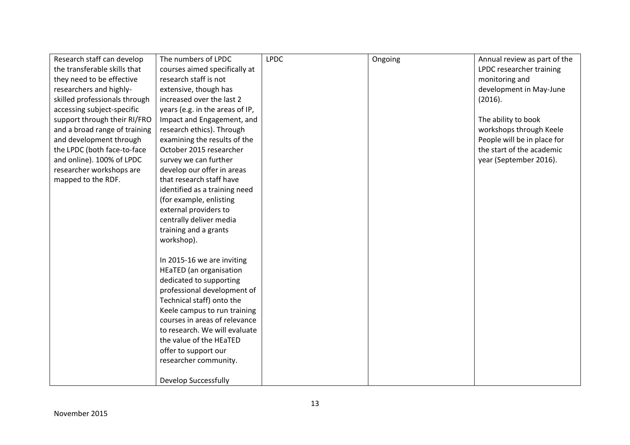| Research staff can develop    | The numbers of LPDC             | <b>LPDC</b> | Ongoing | Annual review as part of the |
|-------------------------------|---------------------------------|-------------|---------|------------------------------|
| the transferable skills that  | courses aimed specifically at   |             |         | LPDC researcher training     |
| they need to be effective     | research staff is not           |             |         | monitoring and               |
| researchers and highly-       | extensive, though has           |             |         | development in May-June      |
| skilled professionals through | increased over the last 2       |             |         | (2016).                      |
| accessing subject-specific    | years (e.g. in the areas of IP, |             |         |                              |
| support through their RI/FRO  | Impact and Engagement, and      |             |         | The ability to book          |
| and a broad range of training | research ethics). Through       |             |         | workshops through Keele      |
| and development through       | examining the results of the    |             |         | People will be in place for  |
| the LPDC (both face-to-face   | October 2015 researcher         |             |         | the start of the academic    |
| and online). 100% of LPDC     | survey we can further           |             |         | year (September 2016).       |
| researcher workshops are      | develop our offer in areas      |             |         |                              |
| mapped to the RDF.            | that research staff have        |             |         |                              |
|                               | identified as a training need   |             |         |                              |
|                               | (for example, enlisting         |             |         |                              |
|                               | external providers to           |             |         |                              |
|                               | centrally deliver media         |             |         |                              |
|                               | training and a grants           |             |         |                              |
|                               | workshop).                      |             |         |                              |
|                               |                                 |             |         |                              |
|                               | In 2015-16 we are inviting      |             |         |                              |
|                               | <b>HEaTED</b> (an organisation  |             |         |                              |
|                               | dedicated to supporting         |             |         |                              |
|                               | professional development of     |             |         |                              |
|                               | Technical staff) onto the       |             |         |                              |
|                               | Keele campus to run training    |             |         |                              |
|                               | courses in areas of relevance   |             |         |                              |
|                               | to research. We will evaluate   |             |         |                              |
|                               | the value of the HEaTED         |             |         |                              |
|                               | offer to support our            |             |         |                              |
|                               | researcher community.           |             |         |                              |
|                               |                                 |             |         |                              |
|                               | <b>Develop Successfully</b>     |             |         |                              |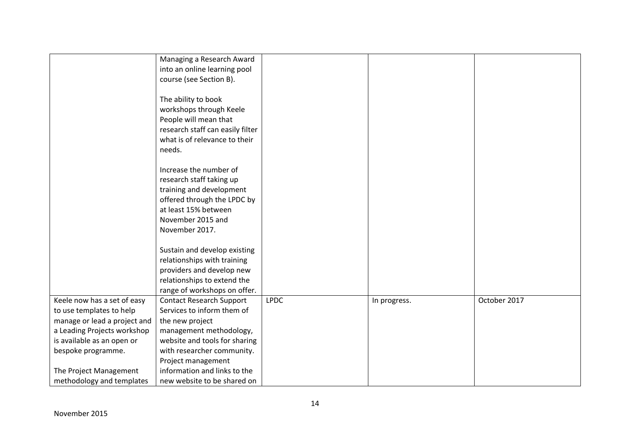|                              | Managing a Research Award        |             |              |              |
|------------------------------|----------------------------------|-------------|--------------|--------------|
|                              | into an online learning pool     |             |              |              |
|                              | course (see Section B).          |             |              |              |
|                              | The ability to book              |             |              |              |
|                              | workshops through Keele          |             |              |              |
|                              | People will mean that            |             |              |              |
|                              | research staff can easily filter |             |              |              |
|                              | what is of relevance to their    |             |              |              |
|                              | needs.                           |             |              |              |
|                              |                                  |             |              |              |
|                              | Increase the number of           |             |              |              |
|                              | research staff taking up         |             |              |              |
|                              | training and development         |             |              |              |
|                              | offered through the LPDC by      |             |              |              |
|                              | at least 15% between             |             |              |              |
|                              | November 2015 and                |             |              |              |
|                              | November 2017.                   |             |              |              |
|                              |                                  |             |              |              |
|                              | Sustain and develop existing     |             |              |              |
|                              | relationships with training      |             |              |              |
|                              | providers and develop new        |             |              |              |
|                              | relationships to extend the      |             |              |              |
|                              | range of workshops on offer.     |             |              |              |
| Keele now has a set of easy  | <b>Contact Research Support</b>  | <b>LPDC</b> | In progress. | October 2017 |
| to use templates to help     | Services to inform them of       |             |              |              |
| manage or lead a project and | the new project                  |             |              |              |
| a Leading Projects workshop  | management methodology,          |             |              |              |
| is available as an open or   | website and tools for sharing    |             |              |              |
| bespoke programme.           | with researcher community.       |             |              |              |
|                              | Project management               |             |              |              |
| The Project Management       | information and links to the     |             |              |              |
| methodology and templates    | new website to be shared on      |             |              |              |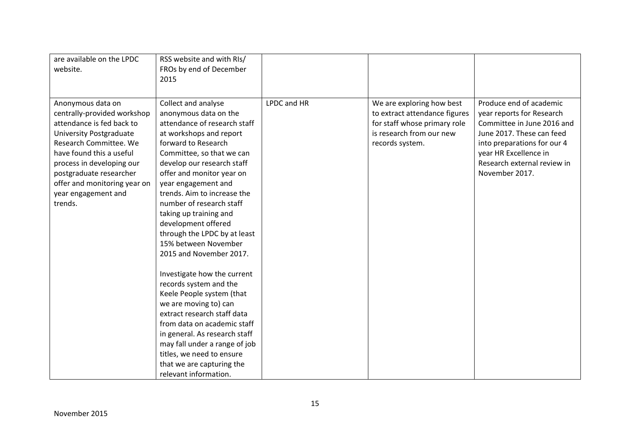| are available on the LPDC      | RSS website and with RIs/     |             |                               |                             |
|--------------------------------|-------------------------------|-------------|-------------------------------|-----------------------------|
| website.                       | FROs by end of December       |             |                               |                             |
|                                | 2015                          |             |                               |                             |
|                                |                               |             |                               |                             |
| Anonymous data on              | Collect and analyse           | LPDC and HR | We are exploring how best     | Produce end of academic     |
| centrally-provided workshop    | anonymous data on the         |             | to extract attendance figures | year reports for Research   |
| attendance is fed back to      | attendance of research staff  |             | for staff whose primary role  | Committee in June 2016 and  |
| <b>University Postgraduate</b> | at workshops and report       |             | is research from our new      | June 2017. These can feed   |
| Research Committee. We         | forward to Research           |             | records system.               | into preparations for our 4 |
| have found this a useful       | Committee, so that we can     |             |                               | year HR Excellence in       |
| process in developing our      | develop our research staff    |             |                               | Research external review in |
| postgraduate researcher        | offer and monitor year on     |             |                               | November 2017.              |
| offer and monitoring year on   | year engagement and           |             |                               |                             |
| year engagement and            | trends. Aim to increase the   |             |                               |                             |
| trends.                        | number of research staff      |             |                               |                             |
|                                | taking up training and        |             |                               |                             |
|                                | development offered           |             |                               |                             |
|                                | through the LPDC by at least  |             |                               |                             |
|                                | 15% between November          |             |                               |                             |
|                                | 2015 and November 2017.       |             |                               |                             |
|                                |                               |             |                               |                             |
|                                | Investigate how the current   |             |                               |                             |
|                                | records system and the        |             |                               |                             |
|                                | Keele People system (that     |             |                               |                             |
|                                | we are moving to) can         |             |                               |                             |
|                                | extract research staff data   |             |                               |                             |
|                                | from data on academic staff   |             |                               |                             |
|                                | in general. As research staff |             |                               |                             |
|                                | may fall under a range of job |             |                               |                             |
|                                | titles, we need to ensure     |             |                               |                             |
|                                | that we are capturing the     |             |                               |                             |
|                                | relevant information.         |             |                               |                             |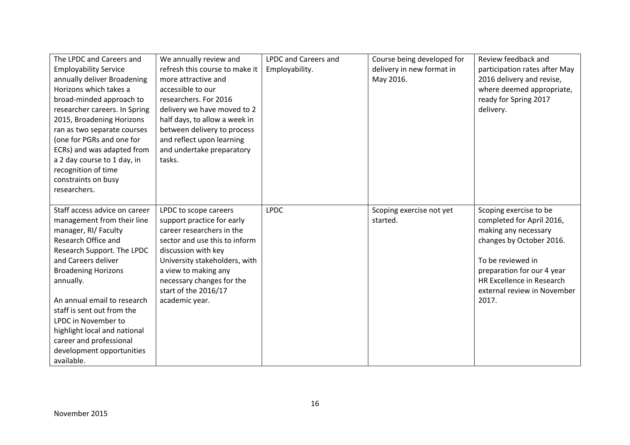| The LPDC and Careers and<br><b>Employability Service</b><br>annually deliver Broadening<br>Horizons which takes a<br>broad-minded approach to<br>researcher careers. In Spring<br>2015, Broadening Horizons<br>ran as two separate courses<br>(one for PGRs and one for<br>ECRs) and was adapted from<br>a 2 day course to 1 day, in<br>recognition of time<br>constraints on busy<br>researchers.   | We annually review and<br>refresh this course to make it<br>more attractive and<br>accessible to our<br>researchers. For 2016<br>delivery we have moved to 2<br>half days, to allow a week in<br>between delivery to process<br>and reflect upon learning<br>and undertake preparatory<br>tasks. | <b>LPDC and Careers and</b><br>Employability. | Course being developed for<br>delivery in new format in<br>May 2016. | Review feedback and<br>participation rates after May<br>2016 delivery and revise,<br>where deemed appropriate,<br>ready for Spring 2017<br>delivery.                                                                            |
|------------------------------------------------------------------------------------------------------------------------------------------------------------------------------------------------------------------------------------------------------------------------------------------------------------------------------------------------------------------------------------------------------|--------------------------------------------------------------------------------------------------------------------------------------------------------------------------------------------------------------------------------------------------------------------------------------------------|-----------------------------------------------|----------------------------------------------------------------------|---------------------------------------------------------------------------------------------------------------------------------------------------------------------------------------------------------------------------------|
| Staff access advice on career<br>management from their line<br>manager, RI/ Faculty<br>Research Office and<br>Research Support. The LPDC<br>and Careers deliver<br><b>Broadening Horizons</b><br>annually.<br>An annual email to research<br>staff is sent out from the<br>LPDC in November to<br>highlight local and national<br>career and professional<br>development opportunities<br>available. | LPDC to scope careers<br>support practice for early<br>career researchers in the<br>sector and use this to inform<br>discussion with key<br>University stakeholders, with<br>a view to making any<br>necessary changes for the<br>start of the 2016/17<br>academic year.                         | <b>LPDC</b>                                   | Scoping exercise not yet<br>started.                                 | Scoping exercise to be<br>completed for April 2016,<br>making any necessary<br>changes by October 2016.<br>To be reviewed in<br>preparation for our 4 year<br>HR Excellence in Research<br>external review in November<br>2017. |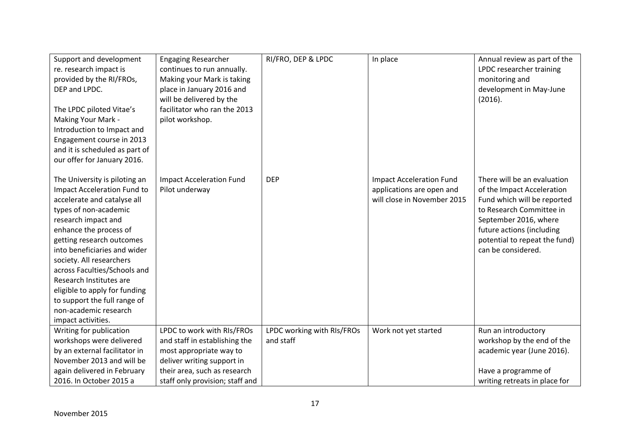| Support and development<br>re. research impact is<br>provided by the RI/FROs,<br>DEP and LPDC.<br>The LPDC piloted Vitae's<br>Making Your Mark -<br>Introduction to Impact and<br>Engagement course in 2013<br>and it is scheduled as part of<br>our offer for January 2016.                                                                                                                                                              | <b>Engaging Researcher</b><br>continues to run annually.<br>Making your Mark is taking<br>place in January 2016 and<br>will be delivered by the<br>facilitator who ran the 2013<br>pilot workshop. | RI/FRO, DEP & LPDC         | In place                                                                                    | Annual review as part of the<br>LPDC researcher training<br>monitoring and<br>development in May-June<br>(2016).                                                                                                                  |
|-------------------------------------------------------------------------------------------------------------------------------------------------------------------------------------------------------------------------------------------------------------------------------------------------------------------------------------------------------------------------------------------------------------------------------------------|----------------------------------------------------------------------------------------------------------------------------------------------------------------------------------------------------|----------------------------|---------------------------------------------------------------------------------------------|-----------------------------------------------------------------------------------------------------------------------------------------------------------------------------------------------------------------------------------|
| The University is piloting an<br>Impact Acceleration Fund to<br>accelerate and catalyse all<br>types of non-academic<br>research impact and<br>enhance the process of<br>getting research outcomes<br>into beneficiaries and wider<br>society. All researchers<br>across Faculties/Schools and<br>Research Institutes are<br>eligible to apply for funding<br>to support the full range of<br>non-academic research<br>impact activities. | <b>Impact Acceleration Fund</b><br>Pilot underway                                                                                                                                                  | <b>DEP</b>                 | <b>Impact Acceleration Fund</b><br>applications are open and<br>will close in November 2015 | There will be an evaluation<br>of the Impact Acceleration<br>Fund which will be reported<br>to Research Committee in<br>September 2016, where<br>future actions (including<br>potential to repeat the fund)<br>can be considered. |
| Writing for publication                                                                                                                                                                                                                                                                                                                                                                                                                   | LPDC to work with RIs/FROs                                                                                                                                                                         | LPDC working with RIs/FROs | Work not yet started                                                                        | Run an introductory                                                                                                                                                                                                               |
| workshops were delivered                                                                                                                                                                                                                                                                                                                                                                                                                  | and staff in establishing the                                                                                                                                                                      | and staff                  |                                                                                             | workshop by the end of the                                                                                                                                                                                                        |
| by an external facilitator in                                                                                                                                                                                                                                                                                                                                                                                                             | most appropriate way to                                                                                                                                                                            |                            |                                                                                             | academic year (June 2016).                                                                                                                                                                                                        |
| November 2013 and will be                                                                                                                                                                                                                                                                                                                                                                                                                 | deliver writing support in                                                                                                                                                                         |                            |                                                                                             |                                                                                                                                                                                                                                   |
| again delivered in February                                                                                                                                                                                                                                                                                                                                                                                                               | their area, such as research                                                                                                                                                                       |                            |                                                                                             | Have a programme of                                                                                                                                                                                                               |
| 2016. In October 2015 a                                                                                                                                                                                                                                                                                                                                                                                                                   | staff only provision; staff and                                                                                                                                                                    |                            |                                                                                             | writing retreats in place for                                                                                                                                                                                                     |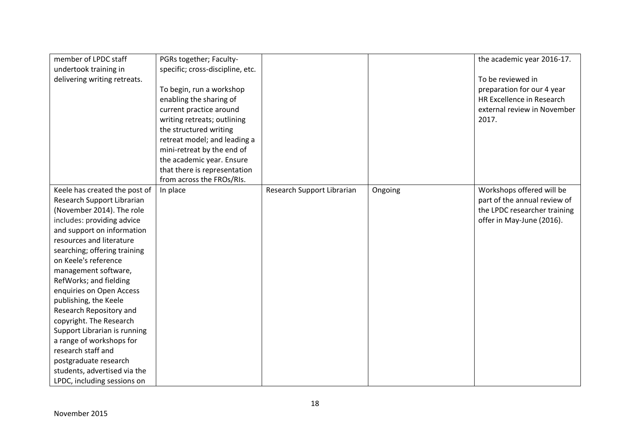| member of LPDC staff          | PGRs together; Faculty-          |                            |         | the academic year 2016-17.   |
|-------------------------------|----------------------------------|----------------------------|---------|------------------------------|
| undertook training in         | specific; cross-discipline, etc. |                            |         |                              |
| delivering writing retreats.  |                                  |                            |         | To be reviewed in            |
|                               | To begin, run a workshop         |                            |         | preparation for our 4 year   |
|                               | enabling the sharing of          |                            |         | HR Excellence in Research    |
|                               | current practice around          |                            |         | external review in November  |
|                               | writing retreats; outlining      |                            |         | 2017.                        |
|                               | the structured writing           |                            |         |                              |
|                               | retreat model; and leading a     |                            |         |                              |
|                               | mini-retreat by the end of       |                            |         |                              |
|                               | the academic year. Ensure        |                            |         |                              |
|                               | that there is representation     |                            |         |                              |
|                               | from across the FROs/RIs.        |                            |         |                              |
| Keele has created the post of | In place                         | Research Support Librarian | Ongoing | Workshops offered will be    |
| Research Support Librarian    |                                  |                            |         | part of the annual review of |
| (November 2014). The role     |                                  |                            |         | the LPDC researcher training |
| includes: providing advice    |                                  |                            |         | offer in May-June (2016).    |
| and support on information    |                                  |                            |         |                              |
| resources and literature      |                                  |                            |         |                              |
| searching; offering training  |                                  |                            |         |                              |
| on Keele's reference          |                                  |                            |         |                              |
| management software,          |                                  |                            |         |                              |
| RefWorks; and fielding        |                                  |                            |         |                              |
| enquiries on Open Access      |                                  |                            |         |                              |
| publishing, the Keele         |                                  |                            |         |                              |
| Research Repository and       |                                  |                            |         |                              |
| copyright. The Research       |                                  |                            |         |                              |
| Support Librarian is running  |                                  |                            |         |                              |
| a range of workshops for      |                                  |                            |         |                              |
| research staff and            |                                  |                            |         |                              |
| postgraduate research         |                                  |                            |         |                              |
| students, advertised via the  |                                  |                            |         |                              |
| LPDC, including sessions on   |                                  |                            |         |                              |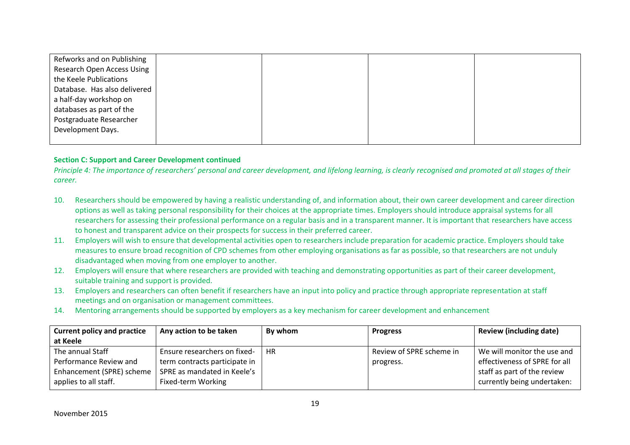| Refworks and on Publishing        |  |  |
|-----------------------------------|--|--|
| <b>Research Open Access Using</b> |  |  |
| the Keele Publications            |  |  |
| Database. Has also delivered      |  |  |
| a half-day workshop on            |  |  |
| databases as part of the          |  |  |
| Postgraduate Researcher           |  |  |
| Development Days.                 |  |  |
|                                   |  |  |

### **Section C: Support and Career Development continued**

*Principle 4: The importance of researchers' personal and career development, and lifelong learning, is clearly recognised and promoted at all stages of their career.*

- 10. Researchers should be empowered by having a realistic understanding of, and information about, their own career development and career direction options as well as taking personal responsibility for their choices at the appropriate times. Employers should introduce appraisal systems for all researchers for assessing their professional performance on a regular basis and in a transparent manner. It is important that researchers have access to honest and transparent advice on their prospects for success in their preferred career.
- 11. Employers will wish to ensure that developmental activities open to researchers include preparation for academic practice. Employers should take measures to ensure broad recognition of CPD schemes from other employing organisations as far as possible, so that researchers are not unduly disadvantaged when moving from one employer to another.
- 12. Employers will ensure that where researchers are provided with teaching and demonstrating opportunities as part of their career development, suitable training and support is provided.
- 13. Employers and researchers can often benefit if researchers have an input into policy and practice through appropriate representation at staff meetings and on organisation or management committees.
- 14. Mentoring arrangements should be supported by employers as a key mechanism for career development and enhancement

| <b>Current policy and practice</b> | Any action to be taken        | By whom   | <b>Progress</b>          | <b>Review (including date)</b> |
|------------------------------------|-------------------------------|-----------|--------------------------|--------------------------------|
| at Keele                           |                               |           |                          |                                |
| The annual Staff                   | Ensure researchers on fixed-  | <b>HR</b> | Review of SPRE scheme in | We will monitor the use and    |
| Performance Review and             | term contracts participate in |           | progress.                | effectiveness of SPRE for all  |
| Enhancement (SPRE) scheme          | SPRE as mandated in Keele's   |           |                          | staff as part of the review    |
| applies to all staff.              | Fixed-term Working            |           |                          | currently being undertaken:    |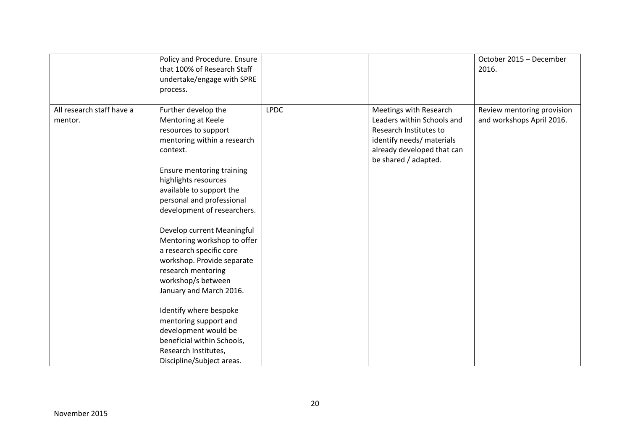|                                      | Policy and Procedure. Ensure<br>that 100% of Research Staff<br>undertake/engage with SPRE<br>process.                                                                                                                                                                                                                                                                                                                                                                                                                                                                                                                 |             |                                                                                                                                                                   | October 2015 - December<br>2016.                        |
|--------------------------------------|-----------------------------------------------------------------------------------------------------------------------------------------------------------------------------------------------------------------------------------------------------------------------------------------------------------------------------------------------------------------------------------------------------------------------------------------------------------------------------------------------------------------------------------------------------------------------------------------------------------------------|-------------|-------------------------------------------------------------------------------------------------------------------------------------------------------------------|---------------------------------------------------------|
| All research staff have a<br>mentor. | Further develop the<br>Mentoring at Keele<br>resources to support<br>mentoring within a research<br>context.<br>Ensure mentoring training<br>highlights resources<br>available to support the<br>personal and professional<br>development of researchers.<br>Develop current Meaningful<br>Mentoring workshop to offer<br>a research specific core<br>workshop. Provide separate<br>research mentoring<br>workshop/s between<br>January and March 2016.<br>Identify where bespoke<br>mentoring support and<br>development would be<br>beneficial within Schools,<br>Research Institutes,<br>Discipline/Subject areas. | <b>LPDC</b> | Meetings with Research<br>Leaders within Schools and<br>Research Institutes to<br>identify needs/ materials<br>already developed that can<br>be shared / adapted. | Review mentoring provision<br>and workshops April 2016. |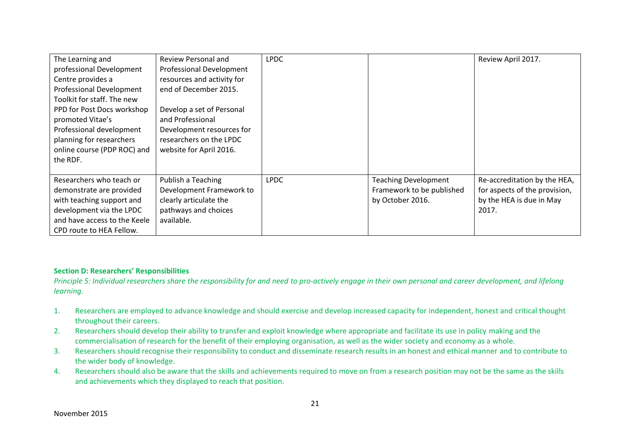| The Learning and             | Review Personal and        | <b>LPDC</b> |                             | Review April 2017.            |
|------------------------------|----------------------------|-------------|-----------------------------|-------------------------------|
| professional Development     | Professional Development   |             |                             |                               |
| Centre provides a            | resources and activity for |             |                             |                               |
| Professional Development     | end of December 2015.      |             |                             |                               |
| Toolkit for staff. The new   |                            |             |                             |                               |
| PPD for Post Docs workshop   | Develop a set of Personal  |             |                             |                               |
| promoted Vitae's             | and Professional           |             |                             |                               |
| Professional development     | Development resources for  |             |                             |                               |
| planning for researchers     | researchers on the LPDC    |             |                             |                               |
| online course (PDP ROC) and  | website for April 2016.    |             |                             |                               |
| the RDF.                     |                            |             |                             |                               |
|                              |                            |             |                             |                               |
| Researchers who teach or     | Publish a Teaching         | <b>LPDC</b> | <b>Teaching Development</b> | Re-accreditation by the HEA,  |
| demonstrate are provided     | Development Framework to   |             | Framework to be published   | for aspects of the provision, |
| with teaching support and    | clearly articulate the     |             | by October 2016.            | by the HEA is due in May      |
| development via the LPDC     | pathways and choices       |             |                             | 2017.                         |
| and have access to the Keele | available.                 |             |                             |                               |
| CPD route to HEA Fellow.     |                            |             |                             |                               |

### **Section D: Researchers' Responsibilities**

*Principle 5: Individual researchers share the responsibility for and need to pro-actively engage in their own personal and career development, and lifelong learning.*

- 1. Researchers are employed to advance knowledge and should exercise and develop increased capacity for independent, honest and critical thought throughout their careers.
- 2. Researchers should develop their ability to transfer and exploit knowledge where appropriate and facilitate its use in policy making and the commercialisation of research for the benefit of their employing organisation, as well as the wider society and economy as a whole.
- 3. Researchers should recognise their responsibility to conduct and disseminate research results in an honest and ethical manner and to contribute to the wider body of knowledge.
- 4. Researchers should also be aware that the skills and achievements required to move on from a research position may not be the same as the skills and achievements which they displayed to reach that position.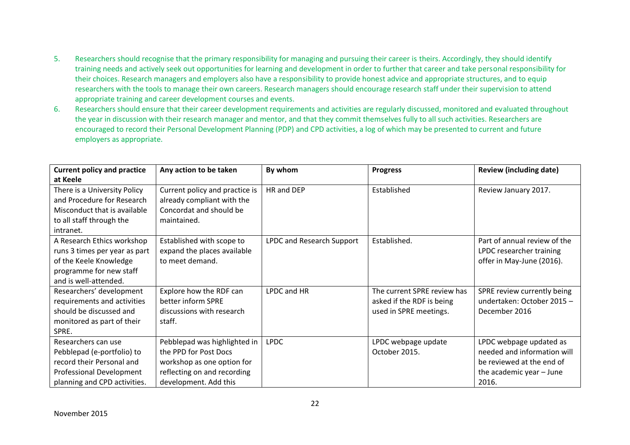- 5. Researchers should recognise that the primary responsibility for managing and pursuing their career is theirs. Accordingly, they should identify training needs and actively seek out opportunities for learning and development in order to further that career and take personal responsibility for their choices. Research managers and employers also have a responsibility to provide honest advice and appropriate structures, and to equip researchers with the tools to manage their own careers. Research managers should encourage research staff under their supervision to attend appropriate training and career development courses and events.
- 6. Researchers should ensure that their career development requirements and activities are regularly discussed, monitored and evaluated throughout the year in discussion with their research manager and mentor, and that they commit themselves fully to all such activities. Researchers are encouraged to record their Personal Development Planning (PDP) and CPD activities, a log of which may be presented to current and future employers as appropriate.

| <b>Current policy and practice</b> | Any action to be taken         | By whom                   | <b>Progress</b>             | <b>Review (including date)</b> |
|------------------------------------|--------------------------------|---------------------------|-----------------------------|--------------------------------|
| at Keele                           |                                |                           |                             |                                |
| There is a University Policy       | Current policy and practice is | HR and DEP                | Established                 | Review January 2017.           |
| and Procedure for Research         | already compliant with the     |                           |                             |                                |
| Misconduct that is available       | Concordat and should be        |                           |                             |                                |
| to all staff through the           | maintained.                    |                           |                             |                                |
| intranet.                          |                                |                           |                             |                                |
| A Research Ethics workshop         | Established with scope to      | LPDC and Research Support | Established.                | Part of annual review of the   |
| runs 3 times per year as part      | expand the places available    |                           |                             | LPDC researcher training       |
| of the Keele Knowledge             | to meet demand.                |                           |                             | offer in May-June (2016).      |
| programme for new staff            |                                |                           |                             |                                |
| and is well-attended.              |                                |                           |                             |                                |
| Researchers' development           | Explore how the RDF can        | LPDC and HR               | The current SPRE review has | SPRE review currently being    |
| requirements and activities        | better inform SPRE             |                           | asked if the RDF is being   | undertaken: October 2015 -     |
| should be discussed and            | discussions with research      |                           | used in SPRE meetings.      | December 2016                  |
| monitored as part of their         | staff.                         |                           |                             |                                |
| SPRE.                              |                                |                           |                             |                                |
| Researchers can use                | Pebblepad was highlighted in   | <b>LPDC</b>               | LPDC webpage update         | LPDC webpage updated as        |
| Pebblepad (e-portfolio) to         | the PPD for Post Docs          |                           | October 2015.               | needed and information will    |
| record their Personal and          | workshop as one option for     |                           |                             | be reviewed at the end of      |
| Professional Development           | reflecting on and recording    |                           |                             | the academic year - June       |
| planning and CPD activities.       | development. Add this          |                           |                             | 2016.                          |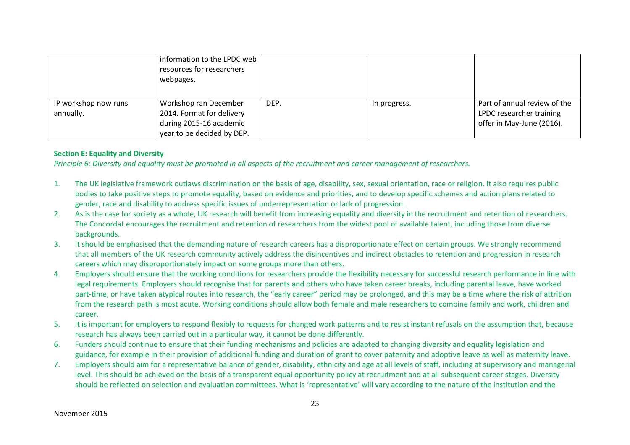|                      | information to the LPDC web<br>resources for researchers<br>webpages. |      |              |                              |
|----------------------|-----------------------------------------------------------------------|------|--------------|------------------------------|
| IP workshop now runs | Workshop ran December                                                 | DEP. | In progress. | Part of annual review of the |
| annually.            | 2014. Format for delivery                                             |      |              | LPDC researcher training     |
|                      | during 2015-16 academic                                               |      |              | offer in May-June (2016).    |
|                      | year to be decided by DEP.                                            |      |              |                              |

### **Section E: Equality and Diversity**

*Principle 6: Diversity and equality must be promoted in all aspects of the recruitment and career management of researchers.*

- 1. The UK legislative framework outlaws discrimination on the basis of age, disability, sex, sexual orientation, race or religion. It also requires public bodies to take positive steps to promote equality, based on evidence and priorities, and to develop specific schemes and action plans related to gender, race and disability to address specific issues of underrepresentation or lack of progression.
- 2. As is the case for society as a whole, UK research will benefit from increasing equality and diversity in the recruitment and retention of researchers. The Concordat encourages the recruitment and retention of researchers from the widest pool of available talent, including those from diverse backgrounds.
- 3. It should be emphasised that the demanding nature of research careers has a disproportionate effect on certain groups. We strongly recommend that all members of the UK research community actively address the disincentives and indirect obstacles to retention and progression in research careers which may disproportionately impact on some groups more than others.
- 4. Employers should ensure that the working conditions for researchers provide the flexibility necessary for successful research performance in line with legal requirements. Employers should recognise that for parents and others who have taken career breaks, including parental leave, have worked part-time, or have taken atypical routes into research, the "early career" period may be prolonged, and this may be a time where the risk of attrition from the research path is most acute. Working conditions should allow both female and male researchers to combine family and work, children and career.
- 5. It is important for employers to respond flexibly to requests for changed work patterns and to resist instant refusals on the assumption that, because research has always been carried out in a particular way, it cannot be done differently.
- 6. Funders should continue to ensure that their funding mechanisms and policies are adapted to changing diversity and equality legislation and guidance, for example in their provision of additional funding and duration of grant to cover paternity and adoptive leave as well as maternity leave.
- 7. Employers should aim for a representative balance of gender, disability, ethnicity and age at all levels of staff, including at supervisory and managerial level. This should be achieved on the basis of a transparent equal opportunity policy at recruitment and at all subsequent career stages. Diversity should be reflected on selection and evaluation committees. What is 'representative' will vary according to the nature of the institution and the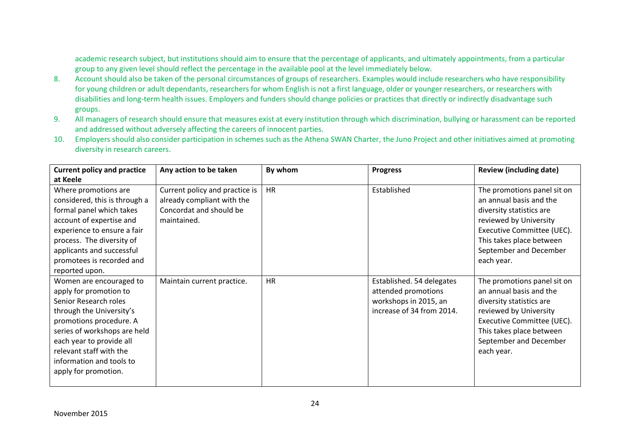academic research subject, but institutions should aim to ensure that the percentage of applicants, and ultimately appointments, from a particular group to any given level should reflect the percentage in the available pool at the level immediately below.

- 8. Account should also be taken of the personal circumstances of groups of researchers. Examples would include researchers who have responsibility for young children or adult dependants, researchers for whom English is not a first language, older or younger researchers, or researchers with disabilities and long-term health issues. Employers and funders should change policies or practices that directly or indirectly disadvantage such groups.
- 9. All managers of research should ensure that measures exist at every institution through which discrimination, bullying or harassment can be reported and addressed without adversely affecting the careers of innocent parties.
- 10. Employers should also consider participation in schemes such as the Athena SWAN Charter, the Juno Project and other initiatives aimed at promoting diversity in research careers.

| <b>Current policy and practice</b>                                                                                                                                                                                                                                           | Any action to be taken                                                                                 | By whom   | <b>Progress</b>                                                                                        | <b>Review (including date)</b>                                                                                                                                                                                 |
|------------------------------------------------------------------------------------------------------------------------------------------------------------------------------------------------------------------------------------------------------------------------------|--------------------------------------------------------------------------------------------------------|-----------|--------------------------------------------------------------------------------------------------------|----------------------------------------------------------------------------------------------------------------------------------------------------------------------------------------------------------------|
| at Keele                                                                                                                                                                                                                                                                     |                                                                                                        |           |                                                                                                        |                                                                                                                                                                                                                |
| Where promotions are<br>considered, this is through a<br>formal panel which takes<br>account of expertise and<br>experience to ensure a fair<br>process. The diversity of<br>applicants and successful<br>promotees is recorded and<br>reported upon.                        | Current policy and practice is<br>already compliant with the<br>Concordat and should be<br>maintained. | <b>HR</b> | Established                                                                                            | The promotions panel sit on<br>an annual basis and the<br>diversity statistics are<br>reviewed by University<br>Executive Committee (UEC).<br>This takes place between<br>September and December<br>each year. |
| Women are encouraged to<br>apply for promotion to<br>Senior Research roles<br>through the University's<br>promotions procedure. A<br>series of workshops are held<br>each year to provide all<br>relevant staff with the<br>information and tools to<br>apply for promotion. | Maintain current practice.                                                                             | <b>HR</b> | Established. 54 delegates<br>attended promotions<br>workshops in 2015, an<br>increase of 34 from 2014. | The promotions panel sit on<br>an annual basis and the<br>diversity statistics are<br>reviewed by University<br>Executive Committee (UEC).<br>This takes place between<br>September and December<br>each year. |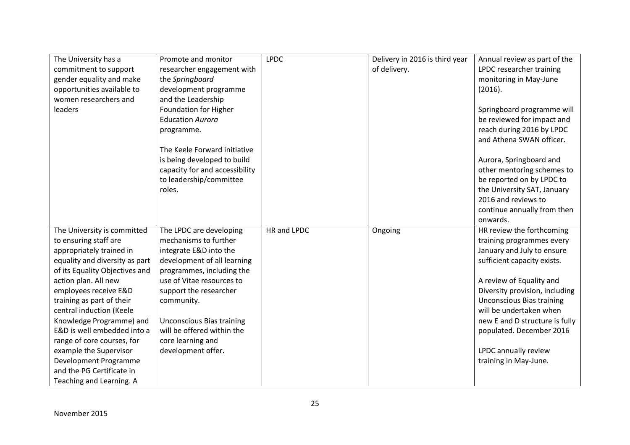| The University has a           | Promote and monitor              | <b>LPDC</b> | Delivery in 2016 is third year | Annual review as part of the     |
|--------------------------------|----------------------------------|-------------|--------------------------------|----------------------------------|
| commitment to support          | researcher engagement with       |             | of delivery.                   | LPDC researcher training         |
| gender equality and make       | the Springboard                  |             |                                | monitoring in May-June           |
| opportunities available to     | development programme            |             |                                | (2016).                          |
| women researchers and          | and the Leadership               |             |                                |                                  |
| leaders                        | Foundation for Higher            |             |                                | Springboard programme will       |
|                                | <b>Education Aurora</b>          |             |                                | be reviewed for impact and       |
|                                | programme.                       |             |                                | reach during 2016 by LPDC        |
|                                |                                  |             |                                | and Athena SWAN officer.         |
|                                | The Keele Forward initiative     |             |                                |                                  |
|                                | is being developed to build      |             |                                | Aurora, Springboard and          |
|                                | capacity for and accessibility   |             |                                | other mentoring schemes to       |
|                                | to leadership/committee          |             |                                | be reported on by LPDC to        |
|                                | roles.                           |             |                                | the University SAT, January      |
|                                |                                  |             |                                | 2016 and reviews to              |
|                                |                                  |             |                                | continue annually from then      |
|                                |                                  |             |                                | onwards.                         |
| The University is committed    | The LPDC are developing          | HR and LPDC | Ongoing                        | HR review the forthcoming        |
| to ensuring staff are          | mechanisms to further            |             |                                | training programmes every        |
| appropriately trained in       | integrate E&D into the           |             |                                | January and July to ensure       |
| equality and diversity as part | development of all learning      |             |                                | sufficient capacity exists.      |
| of its Equality Objectives and | programmes, including the        |             |                                |                                  |
| action plan. All new           | use of Vitae resources to        |             |                                | A review of Equality and         |
| employees receive E&D          | support the researcher           |             |                                | Diversity provision, including   |
| training as part of their      | community.                       |             |                                | <b>Unconscious Bias training</b> |
| central induction (Keele       |                                  |             |                                | will be undertaken when          |
| Knowledge Programme) and       | <b>Unconscious Bias training</b> |             |                                | new E and D structure is fully   |
| E&D is well embedded into a    | will be offered within the       |             |                                | populated. December 2016         |
| range of core courses, for     | core learning and                |             |                                |                                  |
| example the Supervisor         | development offer.               |             |                                | LPDC annually review             |
| Development Programme          |                                  |             |                                | training in May-June.            |
| and the PG Certificate in      |                                  |             |                                |                                  |
| Teaching and Learning. A       |                                  |             |                                |                                  |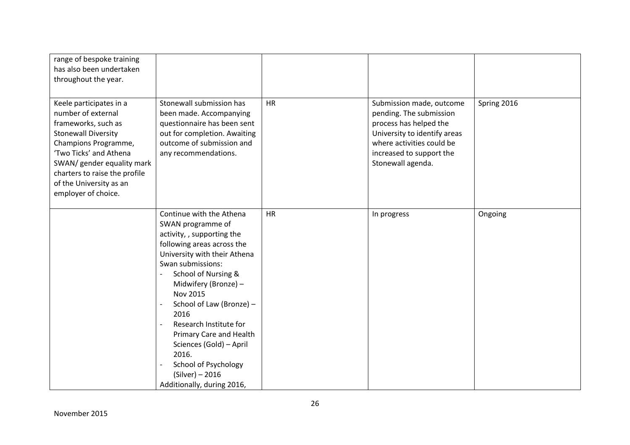| range of bespoke training<br>has also been undertaken<br>throughout the year.                                                                                                                                                                                         |                                                                                                                                                                                                                                                                                                                                                                                                                                          |           |                                                                                                                                                                                             |             |
|-----------------------------------------------------------------------------------------------------------------------------------------------------------------------------------------------------------------------------------------------------------------------|------------------------------------------------------------------------------------------------------------------------------------------------------------------------------------------------------------------------------------------------------------------------------------------------------------------------------------------------------------------------------------------------------------------------------------------|-----------|---------------------------------------------------------------------------------------------------------------------------------------------------------------------------------------------|-------------|
| Keele participates in a<br>number of external<br>frameworks, such as<br><b>Stonewall Diversity</b><br>Champions Programme,<br>'Two Ticks' and Athena<br>SWAN/ gender equality mark<br>charters to raise the profile<br>of the University as an<br>employer of choice. | Stonewall submission has<br>been made. Accompanying<br>questionnaire has been sent<br>out for completion. Awaiting<br>outcome of submission and<br>any recommendations.                                                                                                                                                                                                                                                                  | <b>HR</b> | Submission made, outcome<br>pending. The submission<br>process has helped the<br>University to identify areas<br>where activities could be<br>increased to support the<br>Stonewall agenda. | Spring 2016 |
|                                                                                                                                                                                                                                                                       | Continue with the Athena<br>SWAN programme of<br>activity, , supporting the<br>following areas across the<br>University with their Athena<br>Swan submissions:<br>School of Nursing &<br>Midwifery (Bronze) -<br><b>Nov 2015</b><br>School of Law (Bronze) -<br>2016<br>Research Institute for<br>Primary Care and Health<br>Sciences (Gold) - April<br>2016.<br>School of Psychology<br>$(Silver) - 2016$<br>Additionally, during 2016, | <b>HR</b> | In progress                                                                                                                                                                                 | Ongoing     |